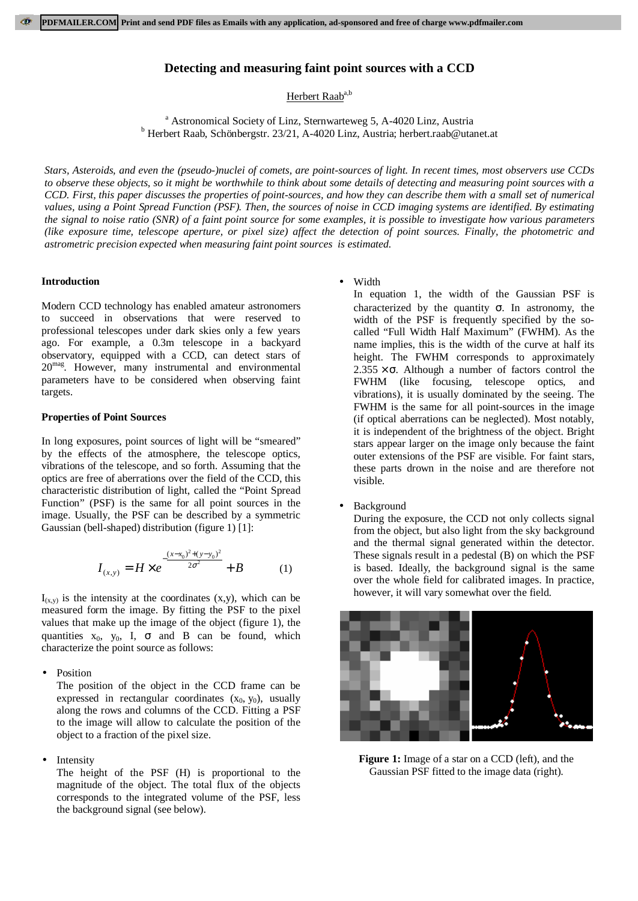# **Detecting and measuring faint point sources with a CCD**

Herbert Raab<sup>a,b</sup>

<sup>a</sup> Astronomical Society of Linz, Sternwarteweg 5, A-4020 Linz, Austria b<br><sup>b</sup> Herbert Beeb, Schönbergstr, 23/21, A 4020 Linz, Austria: berbert reab@ute Herbert Raab, Schönbergstr. 23/21, A-4020 Linz, Austria; herbert.raab@utanet.at

*Stars, Asteroids, and even the (pseudo-)nuclei of comets, are point-sources of light. In recent times, most observers use CCDs to observe these objects, so it might be worthwhile to think about some details of detecting and measuring point sources with a CCD. First, this paper discusses the properties of point-sources, and how they can describe them with a small set of numerical values, using a Point Spread Function (PSF). Then, the sources of noise in CCD imaging systems are identified. By estimating the signal to noise ratio (SNR) of a faint point source for some examples, it is possible to investigate how various parameters (like exposure time, telescope aperture, or pixel size) affect the detection of point sources. Finally, the photometric and astrometric precision expected when measuring faint point sources is estimated.*

#### **Introduction**

Modern CCD technology has enabled amateur astronomers to succeed in observations that were reserved to professional telescopes under dark skies only a few years ago. For example, a 0.3m telescope in a backyard observatory, equipped with a CCD, can detect stars of 20<sup>mag</sup>. However, many instrumental and environmental parameters have to be considered when observing faint targets.

### **Properties of Point Sources**

In long exposures, point sources of light will be "smeared" by the effects of the atmosphere, the telescope optics, vibrations of the telescope, and so forth. Assuming that the optics are free of aberrations over the field of the CCD, this characteristic distribution of light, called the "Point Spread Function" (PSF) is the same for all point sources in the image. Usually, the PSF can be described by a symmetric Gaussian (bell-shaped) distribution (figure 1) [1]:

$$
I_{(x,y)} = H \times e^{-\frac{(x - x_0)^2 + (y - y_0)^2}{2\sigma^2}} + B \tag{1}
$$

 $I_{(x,y)}$  is the intensity at the coordinates  $(x,y)$ , which can be measured form the image. By fitting the PSF to the pixel values that make up the image of the object (figure 1), the quantities  $x_0$ ,  $y_0$ , I,  $\sigma$  and B can be found, which characterize the point source as follows:

• Position

The position of the object in the CCD frame can be expressed in rectangular coordinates  $(x_0, y_0)$ , usually along the rows and columns of the CCD. Fitting a PSF to the image will allow to calculate the position of the object to a fraction of the pixel size.

**Intensity** 

The height of the PSF (H) is proportional to the magnitude of the object. The total flux of the objects corresponds to the integrated volume of the PSF, less the background signal (see below).

• Width

In equation 1, the width of the Gaussian PSF is characterized by the quantity  $\sigma$ . In astronomy, the width of the PSF is frequently specified by the socalled "Full Width Half Maximum" (FWHM). As the name implies, this is the width of the curve at half its height. The FWHM corresponds to approximately  $2.355 \times \sigma$ . Although a number of factors control the FWHM (like focusing, telescope optics, and vibrations), it is usually dominated by the seeing. The FWHM is the same for all point-sources in the image (if optical aberrations can be neglected). Most notably, it is independent of the brightness of the object. Bright stars appear larger on the image only because the faint outer extensions of the PSF are visible. For faint stars, these parts drown in the noise and are therefore not visible.

**Background** 

During the exposure, the CCD not only collects signal from the object, but also light from the sky background and the thermal signal generated within the detector. These signals result in a pedestal (B) on which the PSF is based. Ideally, the background signal is the same over the whole field for calibrated images. In practice, however, it will vary somewhat over the field.



**Figure 1:** Image of a star on a CCD (left), and the Gaussian PSF fitted to the image data (right).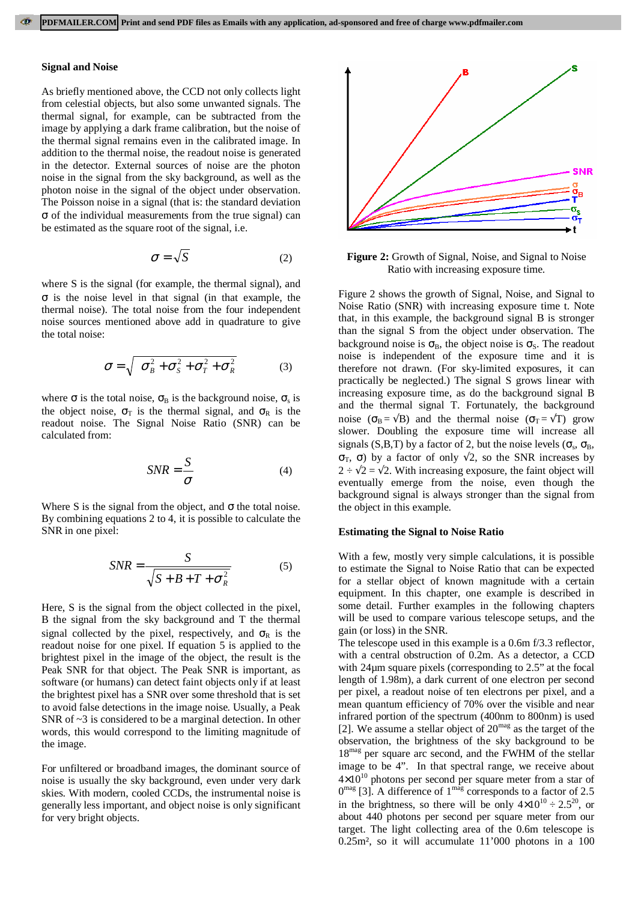#### **Signal and Noise**

As briefly mentioned above, the CCD not only collects light from celestial objects, but also some unwanted signals. The thermal signal, for example, can be subtracted from the image by applying a dark frame calibration, but the noise of the thermal signal remains even in the calibrated image. In addition to the thermal noise, the readout noise is generated in the detector. External sources of noise are the photon noise in the signal from the sky background, as well as the photon noise in the signal of the object under observation. The Poisson noise in a signal (that is: the standard deviation σ of the individual measurements from the true signal) can be estimated as the square root of the signal, i.e.

$$
\sigma = \sqrt{S} \tag{2}
$$

where S is the signal (for example, the thermal signal), and σ is the noise level in that signal (in that example, the thermal noise). The total noise from the four independent noise sources mentioned above add in quadrature to give the total noise:

$$
\sigma = \sqrt{\sigma_B^2 + \sigma_S^2 + \sigma_T^2 + \sigma_R^2}
$$
 (3)

where  $\sigma$  is the total noise,  $\sigma_B$  is the background noise,  $\sigma_s$  is the object noise,  $\sigma_T$  is the thermal signal, and  $\sigma_R$  is the readout noise. The Signal Noise Ratio (SNR) can be calculated from:

$$
SNR = \frac{S}{\sigma} \tag{4}
$$

Where S is the signal from the object, and  $\sigma$  the total noise. By combining equations 2 to 4, it is possible to calculate the SNR in one pixel:

$$
SNR = \frac{S}{\sqrt{S + B + T + \sigma_R^2}}
$$
 (5)

Here, S is the signal from the object collected in the pixel, B the signal from the sky background and T the thermal signal collected by the pixel, respectively, and  $\sigma_R$  is the readout noise for one pixel. If equation 5 is applied to the brightest pixel in the image of the object, the result is the Peak SNR for that object. The Peak SNR is important, as software (or humans) can detect faint objects only if at least the brightest pixel has a SNR over some threshold that is set to avoid false detections in the image noise. Usually, a Peak SNR of  $\sim$ 3 is considered to be a marginal detection. In other words, this would correspond to the limiting magnitude of the image.

For unfiltered or broadband images, the dominant source of noise is usually the sky background, even under very dark skies. With modern, cooled CCDs, the instrumental noise is generally less important, and object noise is only significant for very bright objects.



**Figure 2:** Growth of Signal, Noise, and Signal to Noise Ratio with increasing exposure time.

Figure 2 shows the growth of Signal, Noise, and Signal to Noise Ratio (SNR) with increasing exposure time t. Note that, in this example, the background signal B is stronger than the signal S from the object under observation. The background noise is  $\sigma_B$ , the object noise is  $\sigma_S$ . The readout noise is independent of the exposure time and it is therefore not drawn. (For sky-limited exposures, it can practically be neglected.) The signal S grows linear with increasing exposure time, as do the background signal B and the thermal signal T. Fortunately, the background noise ( $\sigma_B = \sqrt{B}$ ) and the thermal noise ( $\sigma_T = \sqrt{T}$ ) grow slower. Doubling the exposure time will increase all signals (S,B,T) by a factor of 2, but the noise levels ( $\sigma_s$ ,  $\sigma_B$ , σ<sub>T</sub>, σ) by a factor of only  $\sqrt{2}$ , so the SNR increases by  $2 \div \sqrt{2} = \sqrt{2}$ . With increasing exposure, the faint object will eventually emerge from the noise, even though the background signal is always stronger than the signal from the object in this example.

### **Estimating the Signal to Noise Ratio**

With a few, mostly very simple calculations, it is possible to estimate the Signal to Noise Ratio that can be expected for a stellar object of known magnitude with a certain equipment. In this chapter, one example is described in some detail. Further examples in the following chapters will be used to compare various telescope setups, and the gain (or loss) in the SNR.

The telescope used in this example is a 0.6m f/3.3 reflector, with a central obstruction of 0.2m. As a detector, a CCD with 24µm square pixels (corresponding to 2.5" at the focal length of 1.98m), a dark current of one electron per second per pixel, a readout noise of ten electrons per pixel, and a mean quantum efficiency of 70% over the visible and near infrared portion of the spectrum (400nm to 800nm) is used [2]. We assume a stellar object of  $20^{mag}$  as the target of the observation, the brightness of the sky background to be 18<sup>mag</sup> per square arc second, and the FWHM of the stellar image to be 4". In that spectral range, we receive about  $4\times10^{10}$  photons per second per square meter from a star of  $0^{mag}$  [3]. A difference of  $1^{mag}$  corresponds to a factor of 2.5 in the brightness, so there will be only  $4\times10^{10} \div 2.5^{20}$ , or about 440 photons per second per square meter from our target. The light collecting area of the 0.6m telescope is 0.25m², so it will accumulate 11'000 photons in a 100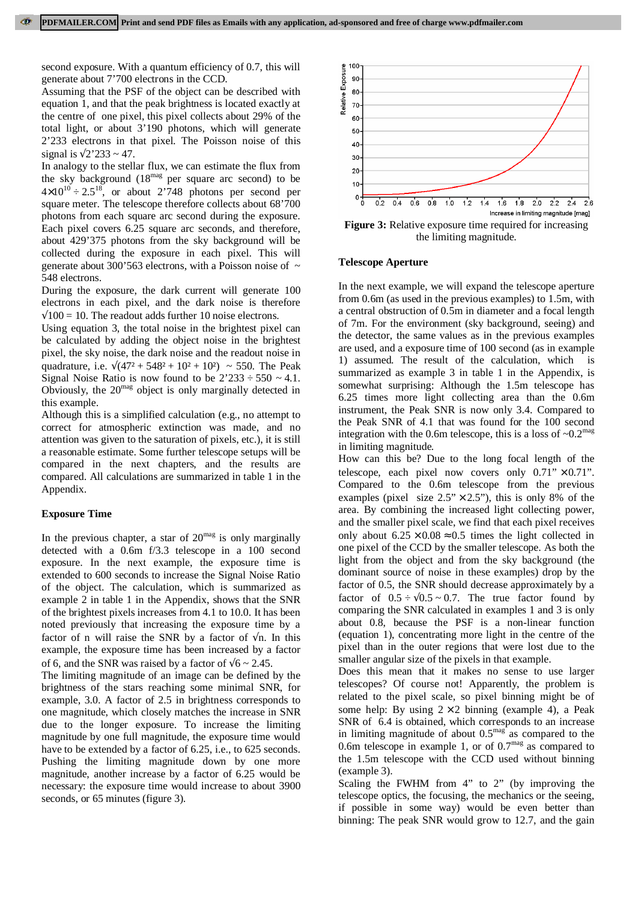second exposure. With a quantum efficiency of 0.7, this will generate about 7'700 electrons in the CCD.

Assuming that the PSF of the object can be described with equation 1, and that the peak brightness is located exactly at the centre of one pixel, this pixel collects about 29% of the total light, or about 3'190 photons, which will generate 2'233 electrons in that pixel. The Poisson noise of this signal is  $\sqrt{2'}233 \sim 47$ .

In analogy to the stellar flux, we can estimate the flux from the sky background  $(18^{mag}$  per square arc second) to be  $4\times10^{10} \div 2.5^{18}$ , or about 2'748 photons per second per square meter. The telescope therefore collects about 68'700 photons from each square arc second during the exposure. Each pixel covers 6.25 square arc seconds, and therefore, about 429'375 photons from the sky background will be collected during the exposure in each pixel. This will generate about 300'563 electrons, with a Poisson noise of  $\sim$ 548 electrons.

During the exposure, the dark current will generate 100 electrons in each pixel, and the dark noise is therefore  $\sqrt{100}$  = 10. The readout adds further 10 noise electrons.

Using equation 3, the total noise in the brightest pixel can be calculated by adding the object noise in the brightest pixel, the sky noise, the dark noise and the readout noise in quadrature, i.e.  $\sqrt{(47^2 + 548^2 + 10^2 + 10^2)} \approx 550$ . The Peak Signal Noise Ratio is now found to be  $2'233 \div 550 \sim 4.1$ . Obviously, the  $20^{mag}$  object is only marginally detected in this example.

Although this is a simplified calculation (e.g., no attempt to correct for atmospheric extinction was made, and no attention was given to the saturation of pixels, etc.), it is still a reasonable estimate. Some further telescope setups will be compared in the next chapters, and the results are compared. All calculations are summarized in table 1 in the Appendix.

# **Exposure Time**

In the previous chapter, a star of  $20^{mag}$  is only marginally detected with a 0.6m f/3.3 telescope in a 100 second exposure. In the next example, the exposure time is extended to 600 seconds to increase the Signal Noise Ratio of the object. The calculation, which is summarized as example 2 in table 1 in the Appendix, shows that the SNR of the brightest pixels increases from 4.1 to 10.0. It has been noted previously that increasing the exposure time by a factor of n will raise the SNR by a factor of  $\sqrt{n}$ . In this example, the exposure time has been increased by a factor of 6, and the SNR was raised by a factor of  $\sqrt{6} \sim 2.45$ .

The limiting magnitude of an image can be defined by the brightness of the stars reaching some minimal SNR, for example, 3.0. A factor of 2.5 in brightness corresponds to one magnitude, which closely matches the increase in SNR due to the longer exposure. To increase the limiting magnitude by one full magnitude, the exposure time would have to be extended by a factor of 6.25, i.e., to 625 seconds. Pushing the limiting magnitude down by one more magnitude, another increase by a factor of 6.25 would be necessary: the exposure time would increase to about 3900 seconds, or 65 minutes (figure 3).



**Figure 3:** Relative exposure time required for increasing the limiting magnitude.

### **Telescope Aperture**

In the next example, we will expand the telescope aperture from 0.6m (as used in the previous examples) to 1.5m, with a central obstruction of 0.5m in diameter and a focal length of 7m. For the environment (sky background, seeing) and the detector, the same values as in the previous examples are used, and a exposure time of 100 second (as in example 1) assumed. The result of the calculation, which is summarized as example 3 in table 1 in the Appendix, is somewhat surprising: Although the 1.5m telescope has 6.25 times more light collecting area than the 0.6m instrument, the Peak SNR is now only 3.4. Compared to the Peak SNR of 4.1 that was found for the 100 second integration with the 0.6m telescope, this is a loss of  $\sim 0.2^{\text{mag}}$ in limiting magnitude.

How can this be? Due to the long focal length of the telescope, each pixel now covers only  $0.71$ "  $\times$  0.71". Compared to the 0.6m telescope from the previous examples (pixel size  $2.5" \times 2.5"$ ), this is only 8% of the area. By combining the increased light collecting power, and the smaller pixel scale, we find that each pixel receives only about  $6.25 \times 0.08 \approx 0.5$  times the light collected in one pixel of the CCD by the smaller telescope. As both the light from the object and from the sky background (the dominant source of noise in these examples) drop by the factor of 0.5, the SNR should decrease approximately by a factor of  $0.5 \div \sqrt{0.5} \sim 0.7$ . The true factor found by comparing the SNR calculated in examples 1 and 3 is only about 0.8, because the PSF is a non-linear function (equation 1), concentrating more light in the centre of the pixel than in the outer regions that were lost due to the smaller angular size of the pixels in that example.

Does this mean that it makes no sense to use larger telescopes? Of course not! Apparently, the problem is related to the pixel scale, so pixel binning might be of some help: By using  $2 \times 2$  binning (example 4), a Peak SNR of 6.4 is obtained, which corresponds to an increase in limiting magnitude of about  $0.5<sup>mag</sup>$  as compared to the 0.6m telescope in example 1, or of  $0.7<sup>mag</sup>$  as compared to the 1.5m telescope with the CCD used without binning (example 3).

Scaling the FWHM from 4" to 2" (by improving the telescope optics, the focusing, the mechanics or the seeing, if possible in some way) would be even better than binning: The peak SNR would grow to 12.7, and the gain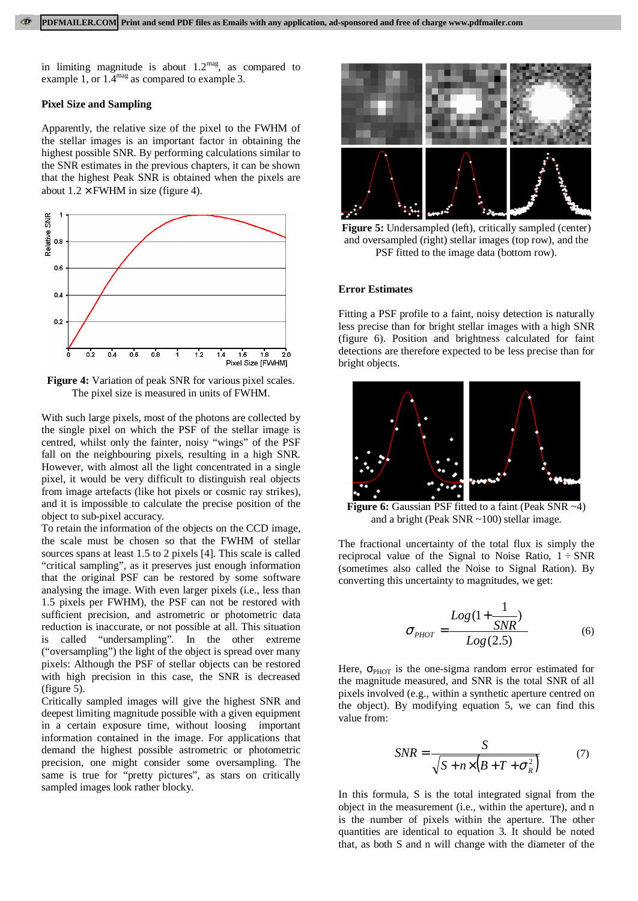in limiting magnitude is about  $1.2<sup>mag</sup>$ , as compared to example 1, or 1.4<sup>mag</sup> as compared to example 3.

## **Pixel Size and Sampling**

Apparently, the relative size of the pixel to the FWHM of the stellar images is an important factor in obtaining the highest possible SNR. By performing calculations similar to the SNR estimates in the previous chapters, it can be shown that the highest Peak SNR is obtained when the pixels are about  $1.2 \times$  FWHM in size (figure 4).



**Figure 4:** Variation of peak SNR for various pixel scales. The pixel size is measured in units of FWHM.

With such large pixels, most of the photons are collected by the single pixel on which the PSF of the stellar image is centred, whilst only the fainter, noisy "wings" of the PSF fall on the neighbouring pixels, resulting in a high SNR. However, with almost all the light concentrated in a single pixel, it would be very difficult to distinguish real objects from image artefacts (like hot pixels or cosmic ray strikes), and it is impossible to calculate the precise position of the object to sub-pixel accuracy.

To retain the information of the objects on the CCD image, the scale must be chosen so that the FWHM of stellar sources spans at least 1.5 to 2 pixels [4]. This scale is called "critical sampling", as it preserves just enough information that the original PSF can be restored by some software analysing the image. With even larger pixels (i.e., less than 1.5 pixels per FWHM), the PSF can not be restored with sufficient precision, and astrometric or photometric data reduction is inaccurate, or not possible at all. This situation is called "undersampling". In the other extreme ("oversampling") the light of the object is spread over many pixels: Although the PSF of stellar objects can be restored with high precision in this case, the SNR is decreased (figure 5).

Critically sampled images will give the highest SNR and deepest limiting magnitude possible with a given equipment in a certain exposure time, without loosing important information contained in the image. For applications that demand the highest possible astrometric or photometric precision, one might consider some oversampling. The same is true for "pretty pictures", as stars on critically sampled images look rather blocky.



**Figure 5:** Undersampled (left), critically sampled (center) and oversampled (right) stellar images (top row), and the PSF fitted to the image data (bottom row).

### **Error Estimates**

Fitting a PSF profile to a faint, noisy detection is naturally less precise than for bright stellar images with a high SNR (figure 6). Position and brightness calculated for faint detections are therefore expected to be less precise than for bright objects.



**Figure 6:** Gaussian PSF fitted to a faint (Peak SNR ~4) and a bright (Peak SNR ~100) stellar image.

The fractional uncertainty of the total flux is simply the reciprocal value of the Signal to Noise Ratio,  $1 \div SNR$ (sometimes also called the Noise to Signal Ration). By converting this uncertainty to magnitudes, we get:

$$
\sigma_{PHOT} = \frac{Log(1 + \frac{1}{SNR})}{Log(2.5)} \tag{6}
$$

Here,  $\sigma_{\text{PHOT}}$  is the one-sigma random error estimated for the magnitude measured, and SNR is the total SNR of all pixels involved (e.g., within a synthetic aperture centred on the object). By modifying equation 5, we can find this value from:

$$
SNR = \frac{S}{\sqrt{S + n \times (B + T + \sigma_R^2)}}
$$
(7)

In this formula, S is the total integrated signal from the object in the measurement (i.e., within the aperture), and n is the number of pixels within the aperture. The other quantities are identical to equation 3. It should be noted that, as both S and n will change with the diameter of the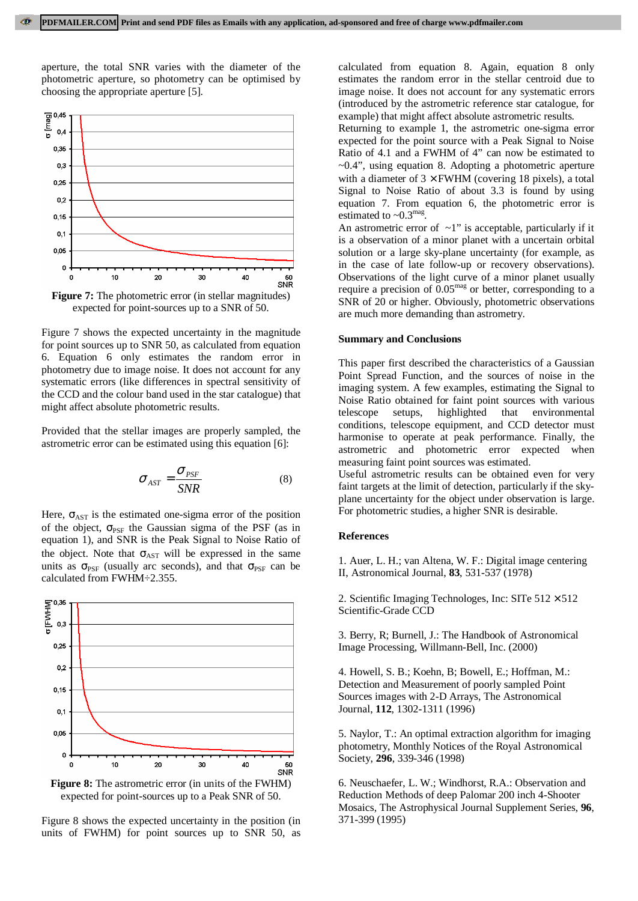aperture, the total SNR varies with the diameter of the photometric aperture, so photometry can be optimised by choosing the appropriate aperture [5].



**Figure 7:** The photometric error (in stellar magnitudes) expected for point-sources up to a SNR of 50.

Figure 7 shows the expected uncertainty in the magnitude for point sources up to SNR 50, as calculated from equation 6. Equation 6 only estimates the random error in photometry due to image noise. It does not account for any systematic errors (like differences in spectral sensitivity of the CCD and the colour band used in the star catalogue) that might affect absolute photometric results.

Provided that the stellar images are properly sampled, the astrometric error can be estimated using this equation [6]:

$$
\sigma_{AST} = \frac{\sigma_{PSF}}{SNR} \tag{8}
$$

Here,  $\sigma_{\text{AST}}$  is the estimated one-sigma error of the position of the object,  $\sigma_{PSF}$  the Gaussian sigma of the PSF (as in equation 1), and SNR is the Peak Signal to Noise Ratio of the object. Note that  $\sigma_{\text{AST}}$  will be expressed in the same units as  $\sigma_{PSF}$  (usually arc seconds), and that  $\sigma_{PSF}$  can be calculated from FWHM÷2.355.



expected for point-sources up to a Peak SNR of 50.

Figure 8 shows the expected uncertainty in the position (in units of FWHM) for point sources up to SNR 50, as calculated from equation 8. Again, equation 8 only estimates the random error in the stellar centroid due to image noise. It does not account for any systematic errors (introduced by the astrometric reference star catalogue, for example) that might affect absolute astrometric results.

Returning to example 1, the astrometric one-sigma error expected for the point source with a Peak Signal to Noise Ratio of 4.1 and a FWHM of 4" can now be estimated to ~0.4", using equation 8. Adopting a photometric aperture with a diameter of  $3 \times$  FWHM (covering 18 pixels), a total Signal to Noise Ratio of about 3.3 is found by using equation 7. From equation 6, the photometric error is estimated to  $\sim 0.3$ <sup>mag</sup>.

An astrometric error of  $\sim$ 1" is acceptable, particularly if it is a observation of a minor planet with a uncertain orbital solution or a large sky-plane uncertainty (for example, as in the case of late follow-up or recovery observations). Observations of the light curve of a minor planet usually require a precision of  $0.05<sup>mag</sup>$  or better, corresponding to a SNR of 20 or higher. Obviously, photometric observations are much more demanding than astrometry.

#### **Summary and Conclusions**

This paper first described the characteristics of a Gaussian Point Spread Function, and the sources of noise in the imaging system. A few examples, estimating the Signal to Noise Ratio obtained for faint point sources with various telescope setups, highlighted that environmental conditions, telescope equipment, and CCD detector must harmonise to operate at peak performance. Finally, the astrometric and photometric error expected when measuring faint point sources was estimated.

Useful astrometric results can be obtained even for very faint targets at the limit of detection, particularly if the skyplane uncertainty for the object under observation is large. For photometric studies, a higher SNR is desirable.

## **References**

1. Auer, L. H.; van Altena, W. F.: Digital image centering II, Astronomical Journal, **83**, 531-537 (1978)

2. Scientific Imaging Technologes, Inc: SITe  $512 \times 512$ Scientific-Grade CCD

3. Berry, R; Burnell, J.: The Handbook of Astronomical Image Processing, Willmann-Bell, Inc. (2000)

4. Howell, S. B.; Koehn, B; Bowell, E.; Hoffman, M.: Detection and Measurement of poorly sampled Point Sources images with 2-D Arrays, The Astronomical Journal, **112**, 1302-1311 (1996)

5. Naylor, T.: An optimal extraction algorithm for imaging photometry, Monthly Notices of the Royal Astronomical Society, **296**, 339-346 (1998)

6. Neuschaefer, L. W.; Windhorst, R.A.: Observation and Reduction Methods of deep Palomar 200 inch 4-Shooter Mosaics, The Astrophysical Journal Supplement Series, **96**, 371-399 (1995)